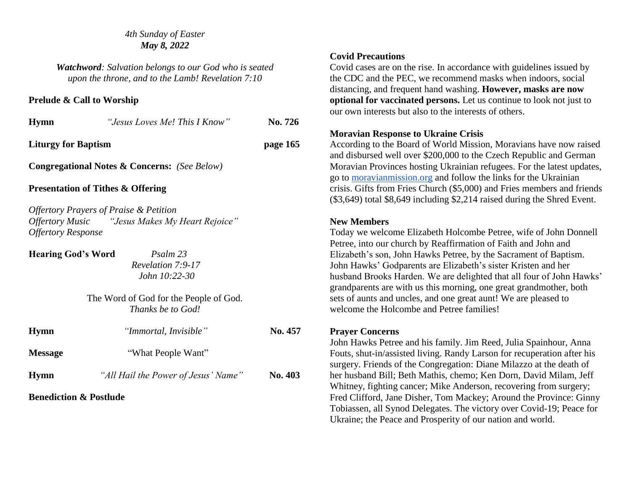#### *4th Sunday of Easter May 8, 2022*

*Watchword: Salvation belongs to our God who is seated upon the throne, and to the Lamb! Revelation 7:10*

## **Prelude & Call to Worship**

| Hymn                       | "Jesus Loves Me! This I Know"                           | No. 726  |
|----------------------------|---------------------------------------------------------|----------|
| <b>Liturgy for Baptism</b> |                                                         | page 165 |
|                            | <b>Congregational Notes &amp; Concerns:</b> (See Below) |          |

## **Presentation of Tithes & Offering**

*Offertory Prayers of Praise & Petition Offertory Music "Jesus Makes My Heart Rejoice" Offertory Response*

**Hearing God's Word** *Psalm 23*

 *Revelation 7:9-17 John 10:22-30*

The Word of God for the People of God. *Thanks be to God!*

| <b>Hymn</b>                       | "Immortal, Invisible"               | No. 457        |
|-----------------------------------|-------------------------------------|----------------|
| <b>Message</b>                    | "What People Want"                  |                |
| <b>Hymn</b>                       | "All Hail the Power of Jesus' Name" | <b>No. 403</b> |
| <b>Benediction &amp; Postlude</b> |                                     |                |

#### **Covid Precautions**

Covid cases are on the rise. In accordance with guidelines issued by the CDC and the PEC, we recommend masks when indoors, social distancing, and frequent hand washing. **However, masks are now optional for vaccinated persons.** Let us continue to look not just to our own interests but also to the interests of others.

## **Moravian Response to Ukraine Crisis**

According to the Board of World Mission, Moravians have now raised and disbursed well over \$200,000 to the Czech Republic and German Moravian Provinces hosting Ukrainian refugees. For the latest updates, go to [moravianmission.org](http://moravianmission.org/) and follow the links for the Ukrainian crisis. Gifts from Fries Church (\$5,000) and Fries members and friends (\$3,649) total \$8,649 including \$2,214 raised during the Shred Event.

## **New Members**

Today we welcome Elizabeth Holcombe Petree, wife of John Donnell Petree, into our church by Reaffirmation of Faith and John and Elizabeth's son, John Hawks Petree, by the Sacrament of Baptism. John Hawks' Godparents are Elizabeth's sister Kristen and her husband Brooks Harden. We are delighted that all four of John Hawks' grandparents are with us this morning, one great grandmother, both sets of aunts and uncles, and one great aunt! We are pleased to welcome the Holcombe and Petree families!

## **Prayer Concerns**

John Hawks Petree and his family. Jim Reed, Julia Spainhour, Anna Fouts, shut-in/assisted living. Randy Larson for recuperation after his surgery. Friends of the Congregation: Diane Milazzo at the death of her husband Bill; Beth Mathis, chemo; Ken Dorn, David Milam, Jeff Whitney, fighting cancer; Mike Anderson, recovering from surgery; Fred Clifford, Jane Disher, Tom Mackey; Around the Province: Ginny Tobiassen, all Synod Delegates. The victory over Covid-19; Peace for Ukraine; the Peace and Prosperity of our nation and world.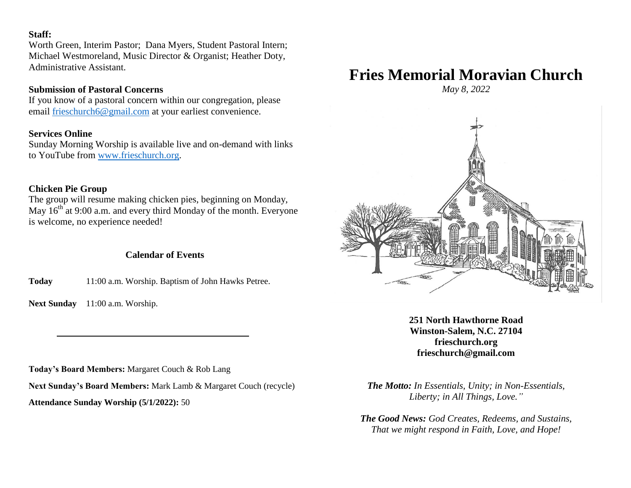## **Staff:**

Worth Green, Interim Pastor; Dana Myers, Student Pastoral Intern; Michael Westmoreland, Music Director & Organist; Heather Doty, Administrative Assistant.

## **Submission of Pastoral Concerns**

If you know of a pastoral concern within our congregation, please email [frieschurch6@gmail.com](mailto:frieschurch6@gmail.com) at your earliest convenience.

## **Services Online**

Sunday Morning Worship is available live and on-demand with links to YouTube from [www.frieschurch.org.](http://www.frieschurch.org/)

# **Chicken Pie Group**

The group will resume making chicken pies, beginning on Monday, May  $16<sup>th</sup>$  at 9:00 a.m. and every third Monday of the month. Everyone is welcome, no experience needed!

# **Calendar of Events**

**Today** 11:00 a.m. Worship. Baptism of John Hawks Petree.

Next Sunday 11:00 a.m. Worship.

**Today's Board Members:** Margaret Couch & Rob Lang

**Next Sunday's Board Members:** Mark Lamb & Margaret Couch (recycle)

**Attendance Sunday Worship (5/1/2022):** 50

# **Fries Memorial Moravian Church**

*May 8, 2022*



**251 North Hawthorne Road Winston-Salem, N.C. 27104 frieschurch.org frieschurch@gmail.com**

*The Motto: In Essentials, Unity; in Non-Essentials, Liberty; in All Things, Love."*

*The Good News: God Creates, Redeems, and Sustains, That we might respond in Faith, Love, and Hope!*